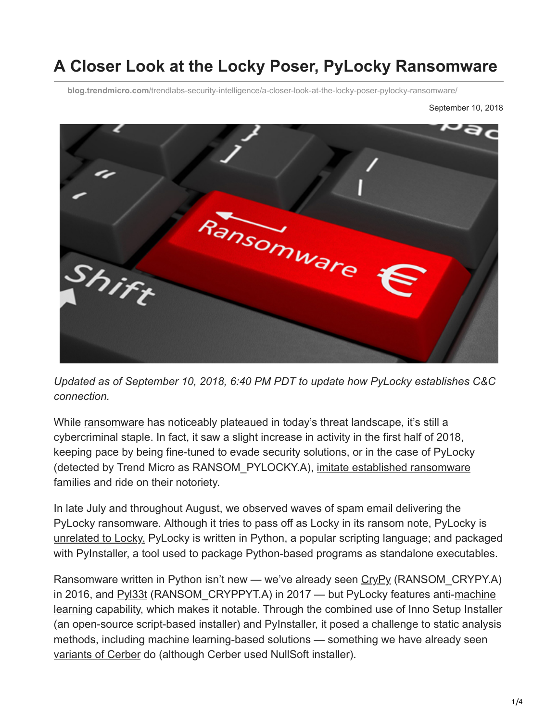# **A Closer Look at the Locky Poser, PyLocky Ransomware**

**blog.trendmicro.com**[/trendlabs-security-intelligence/a-closer-look-at-the-locky-poser-pylocky-ransomware/](https://blog.trendmicro.com/trendlabs-security-intelligence/a-closer-look-at-the-locky-poser-pylocky-ransomware/)

September 10, 2018



*Updated as of September 10, 2018, 6:40 PM PDT to update how PyLocky establishes C&C connection.*

While [ransomware](https://www.trendmicro.com/vinfo/tmr/?/us/security/definition/ransomware) has noticeably plateaued in today's threat landscape, it's still a cybercriminal staple. In fact, it saw a slight increase in activity in the [first half of 2018,](https://www.trendmicro.com/vinfo/tmr/?/us/security/research-and-analysis/threat-reports/roundup/unseen-threats-imminent-losses) keeping pace by being fine-tuned to evade security solutions, or in the case of PyLocky (detected by Trend Micro as RANSOM\_PYLOCKY.A), [imitate established ransomware](https://blog.trendmicro.com/trendlabs-security-intelligence/crypmic-ransomware-wants-to-follow-cryptxxx/) families and ride on their notoriety.

In late July and throughout August, we observed waves of spam email delivering the [PyLocky ransomware. Although it tries to pass off as Locky in its ransom note, PyLocky is](https://ctt.ac/ICcb4) unrelated to Locky. PyLocky is written in Python, a popular scripting language; and packaged with PyInstaller, a tool used to package Python-based programs as standalone executables.

Ransomware written in Python isn't new — we've already seen [CryPy](https://www.trendmicro.com/vinfo/tmr/?/us/security/news/cybercrime-and-digital-threats/ransomware-recap-sept-9-2016) (RANSOM CRYPY.A) in 2016, and Pyl33t (RANSOM CRYPPYT.A) in 2017 — but PyLocky features anti-machine learning capability, which makes it notable. Through the combined use of Inno Setup Installer (an open-source script-based installer) and PyInstaller, it posed a challenge to static analysis methods, including machine learning-based solutions — something we have already seen [variants of Cerber](https://blog.trendmicro.com/en_us/research/17/c/cerber-starts-evading-machine-learning.html) do (although Cerber used NullSoft installer).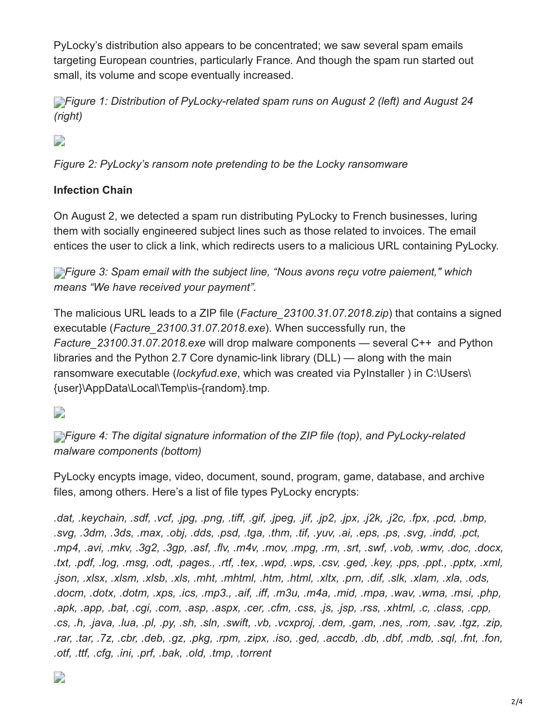PyLocky's distribution also appears to be concentrated; we saw several spam emails targeting European countries, particularly France. And though the spam run started out small, its volume and scope eventually increased.

**[F](https://blog.trendmicro.com/content/dam/trendmicro/global/en/migrated/security-intelligence-migration-spreadsheet/trendlabs-security-intelligence/2018/09/pylocky-ransomware-1.jpg)**<sup>*igure 1: Distribution of PyLocky-related spam runs on August 2 (left) and August 24*</sup> *(right)*

 $\overline{\phantom{a}}$ 

*Figure 2: PyLocky's ransom note pretending to be the Locky ransomware*

#### **Infection Chain**

On August 2, we detected a spam run distributing PyLocky to French businesses, luring them with socially engineered subject lines such as those related to invoices. The email entices the user to click a link, which redirects users to a malicious URL containing PyLocky.

*[F](https://blog.trendmicro.com/content/dam/trendmicro/global/en/migrated/security-intelligence-migration-spreadsheet/trendlabs-security-intelligence/2018/09/pylocky-ransomware-3.png)igure 3: Spam email with the subject line, "Nous avons reçu votre paiement," which means "We have received your payment".*

The malicious URL leads to a ZIP file (*Facture\_23100.31.07.2018.zip*) that contains a signed executable (*Facture\_23100.31.07.2018.exe*). When successfully run, the *Facture\_23100.31.07.2018.exe* will drop malware components — several C++ and Python libraries and the Python 2.7 Core dynamic-link library (DLL) — along with the main ransomware executable (*lockyfud.exe*, which was created via PyInstaller ) in C:\Users\ {user}\AppData\Local\Temp\is-{random}.tmp.

### $\overline{\phantom{a}}$

**[F](https://blog.trendmicro.com/trendlabs-security-intelligence/files/2018/09/pylocky-ransomware-4-2.png)**<sup>*igure 4: The digital signature information of the ZIP file (top), and PyLocky-related*</sup> *malware components (bottom)*

PyLocky encypts image, video, document, sound, program, game, database, and archive files, among others. Here's a list of file types PyLocky encrypts:

*.dat, .keychain, .sdf, .vcf, .jpg, .png, .tiff, .gif, .jpeg, .jif, .jp2, .jpx, .j2k, .j2c, .fpx, .pcd, .bmp, .svg, .3dm, .3ds, .max, .obj, .dds, .psd, .tga, .thm, .tif, .yuv, .ai, .eps, .ps, .svg, .indd, .pct, .mp4, .avi, .mkv, .3g2, .3gp, .asf, .flv, .m4v, .mov, .mpg, .rm, .srt, .swf, .vob, .wmv, .doc, .docx, .txt, .pdf, .log, .msg, .odt, .pages., .rtf, .tex, .wpd, .wps, .csv, .ged, .key, .pps, .ppt., .pptx, .xml, .json, .xlsx, .xlsm, .xlsb, .xls, .mht, .mhtml, .htm, .html, .xltx, .prn, .dif, .slk, .xlam, .xla, .ods, .docm, .dotx, .dotm, .xps, .ics, .mp3., .aif, .iff, .m3u, .m4a, .mid, .mpa, .wav, .wma, .msi, .php, .apk, .app, .bat, .cgi, .com, .asp, .aspx, .cer, .cfm, .css, .js, .jsp, .rss, .xhtml, .c, .class, .cpp, .cs, .h, .java, .lua, .pl, .py, .sh, .sln, .swift, .vb, .vcxproj, .dem, .gam, .nes, .rom, .sav, .tgz, .zip, .rar, .tar, .7z, .cbr, .deb, .gz, .pkg, .rpm, .zipx, .iso, .ged, .accdb, .db, .dbf, .mdb, .sql, .fnt, .fon, .otf, .ttf, .cfg, .ini, .prf, .bak, .old, .tmp, .torrent*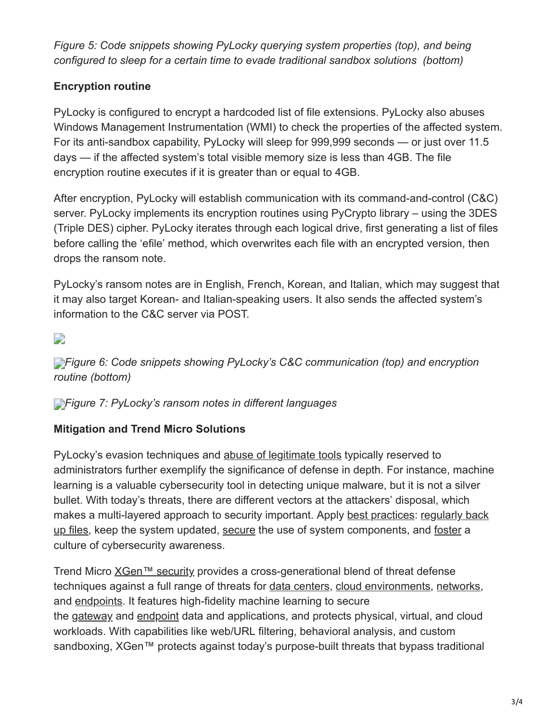*Figure 5: Code snippets showing PyLocky querying system properties (top), and being configured to sleep for a certain time to evade traditional sandbox solutions (bottom)*

## **Encryption routine**

PyLocky is configured to encrypt a hardcoded list of file extensions. PyLocky also abuses Windows Management Instrumentation (WMI) to check the properties of the affected system. For its anti-sandbox capability, PyLocky will sleep for 999,999 seconds — or just over 11.5 days — if the affected system's total visible memory size is less than 4GB. The file encryption routine executes if it is greater than or equal to 4GB.

After encryption, PyLocky will establish communication with its command-and-control (C&C) server. PyLocky implements its encryption routines using PyCrypto library – using the 3DES (Triple DES) cipher. PyLocky iterates through each logical drive, first generating a list of files before calling the 'efile' method, which overwrites each file with an encrypted version, then drops the ransom note.

PyLocky's ransom notes are in English, French, Korean, and Italian, which may suggest that it may also target Korean- and Italian-speaking users. It also sends the affected system's information to the C&C server via POST.

 $\overline{\phantom{a}}$ 

*[F](https://blog.trendmicro.com/content/dam/trendmicro/global/en/migrated/security-intelligence-migration-spreadsheet/trendlabs-security-intelligence/2018/09/pylocky-ransomware-6-2.png)igure 6: Code snippets showing PyLocky's C&C communication (top) and encryption routine (bottom)*

*[F](https://blog.trendmicro.com/trendlabs-security-intelligence/files/2018/09/pylocky-ransomware-7.png)igure 7: PyLocky's ransom notes in different languages*

## **Mitigation and Trend Micro Solutions**

PyLocky's evasion techniques and [abuse of legitimate tools](https://www.trendmicro.com/vinfo/tmr/?/us/security/news/security-technology/2017-notably-abused-system-administration-tools-and-protocols) typically reserved to administrators further exemplify the significance of defense in depth. For instance, machine learning is a valuable cybersecurity tool in detecting unique malware, but it is not a silver bullet. With today's threats, there are different vectors at the attackers' disposal, which [makes a multi-layered approach to security important. Apply best practices: regularly back](https://www.trendmicro.com/vinfo/tmr/?/us/security/news/virtualization-and-cloud/best-practices-backing-up-data) up files, keep the system updated, [secure](https://www.trendmicro.com/vinfo/tmr/?/us/security/news/cybercrime-and-digital-threats/best-practices-securing-sysadmin-tools) the use of system components, and [foster](https://www.trendmicro.com/vinfo/tmr/?/us/security/news/cybercrime-and-digital-threats/why-ransomware-works-psychology-and-methods-to-distribute-infect-and-extort) a culture of cybersecurity awareness.

Trend Micro [XGen™ security](https://blog.trendmicro.com/en_us/business/products/all-solutions.html) provides a cross-generational blend of threat defense techniques against a full range of threats for [data centers,](https://blog.trendmicro.com/en_us/business/products/hybrid-cloud/security-data-center-virtualization.html) [cloud environments](https://blog.trendmicro.com/en_us/business/products/hybrid-cloud/cloud-migration-security.html), [networks](https://blog.trendmicro.com/en_us/business/products/network.html), and [endpoints](https://blog.trendmicro.com/en_us/business/products/user-protection.html). It features high-fidelity machine learning to secure the [gateway](https://blog.trendmicro.com/en_us/business/products/user-protection/sps.html) and [endpoint](https://blog.trendmicro.com/en_us/business/products/user-protection/sps.html) data and applications, and protects physical, virtual, and cloud workloads. With capabilities like web/URL filtering, behavioral analysis, and custom sandboxing, XGen™ protects against today's purpose-built threats that bypass traditional